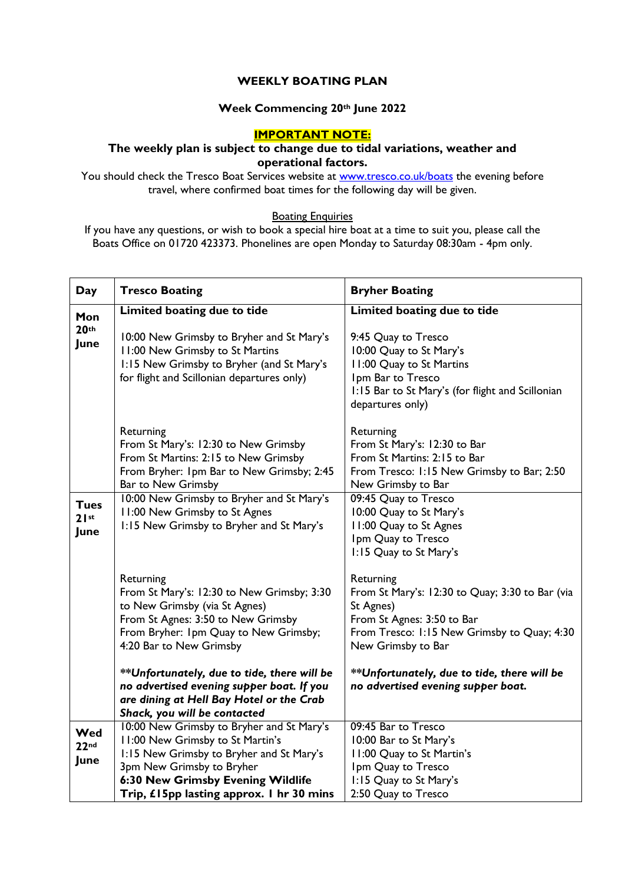# **WEEKLY BOATING PLAN**

# **Week Commencing 20th June 2022**

## **IMPORTANT NOTE:**

## **The weekly plan is subject to change due to tidal variations, weather and operational factors.**

You should check the Tresco Boat Services website at **www.tresco.co.uk/boats** the evening before travel, where confirmed boat times for the following day will be given.

#### **Boating Enquiries**

If you have any questions, or wish to book a special hire boat at a time to suit you, please call the Boats Office on 01720 423373. Phonelines are open Monday to Saturday 08:30am - 4pm only.

| Day                             | <b>Tresco Boating</b>                                                                                                                                                                                                                   | <b>Bryher Boating</b>                                                                                                                                                        |
|---------------------------------|-----------------------------------------------------------------------------------------------------------------------------------------------------------------------------------------------------------------------------------------|------------------------------------------------------------------------------------------------------------------------------------------------------------------------------|
| Mon                             | Limited boating due to tide                                                                                                                                                                                                             | Limited boating due to tide                                                                                                                                                  |
| 20 <sup>th</sup><br>June        | 10:00 New Grimsby to Bryher and St Mary's<br>11:00 New Grimsby to St Martins<br>1:15 New Grimsby to Bryher (and St Mary's<br>for flight and Scillonian departures only)                                                                 | 9:45 Quay to Tresco<br>10:00 Quay to St Mary's<br>11:00 Quay to St Martins<br>Ipm Bar to Tresco<br>1:15 Bar to St Mary's (for flight and Scillonian<br>departures only)      |
|                                 | Returning<br>From St Mary's: 12:30 to New Grimsby<br>From St Martins: 2:15 to New Grimsby<br>From Bryher: Ipm Bar to New Grimsby; 2:45<br>Bar to New Grimsby                                                                            | Returning<br>From St Mary's: 12:30 to Bar<br>From St Martins: 2:15 to Bar<br>From Tresco: 1:15 New Grimsby to Bar; 2:50<br>New Grimsby to Bar                                |
| <b>Tues</b><br>21st<br>June     | 10:00 New Grimsby to Bryher and St Mary's<br>11:00 New Grimsby to St Agnes<br>1:15 New Grimsby to Bryher and St Mary's                                                                                                                  | 09:45 Quay to Tresco<br>10:00 Quay to St Mary's<br>11:00 Quay to St Agnes<br>Ipm Quay to Tresco<br>1:15 Quay to St Mary's                                                    |
|                                 | Returning<br>From St Mary's: 12:30 to New Grimsby; 3:30<br>to New Grimsby (via St Agnes)<br>From St Agnes: 3:50 to New Grimsby<br>From Bryher: Ipm Quay to New Grimsby;<br>4:20 Bar to New Grimsby                                      | Returning<br>From St Mary's: 12:30 to Quay; 3:30 to Bar (via<br>St Agnes)<br>From St Agnes: 3:50 to Bar<br>From Tresco: 1:15 New Grimsby to Quay; 4:30<br>New Grimsby to Bar |
|                                 | **Unfortunately, due to tide, there will be<br>no advertised evening supper boat. If you<br>are dining at Hell Bay Hotel or the Crab<br>Shack, you will be contacted                                                                    | **Unfortunately, due to tide, there will be<br>no advertised evening supper boat.                                                                                            |
| Wed<br>22 <sub>nd</sub><br>June | 10:00 New Grimsby to Bryher and St Mary's<br>11:00 New Grimsby to St Martin's<br>1:15 New Grimsby to Bryher and St Mary's<br>3pm New Grimsby to Bryher<br>6:30 New Grimsby Evening Wildlife<br>Trip, £15pp lasting approx. 1 hr 30 mins | 09:45 Bar to Tresco<br>10:00 Bar to St Mary's<br>I I:00 Quay to St Martin's<br>Ipm Quay to Tresco<br>1:15 Quay to St Mary's<br>2:50 Quay to Tresco                           |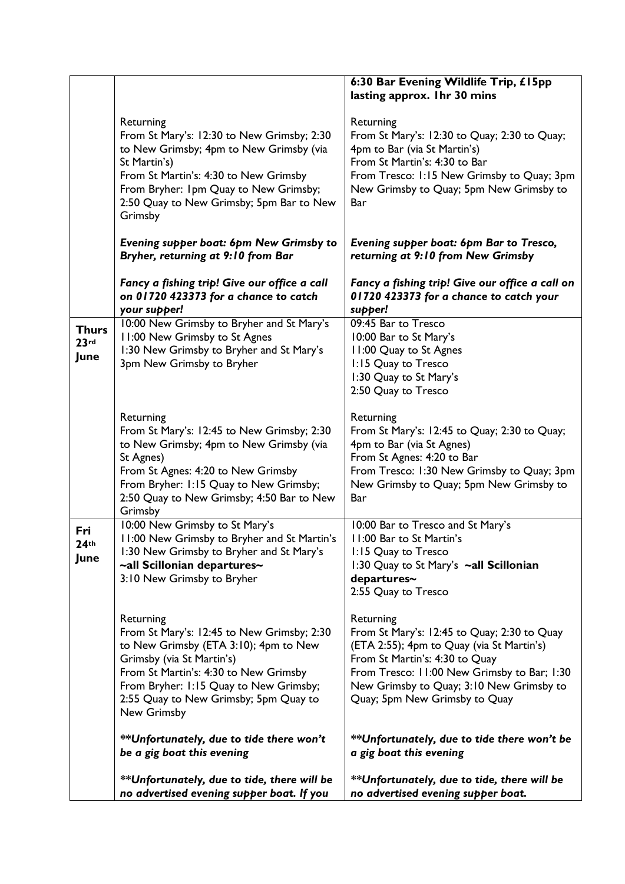|                              |                                                                                                                                                                                                                                                                          | 6:30 Bar Evening Wildlife Trip, £15pp                                                                                                                                                                                                                               |
|------------------------------|--------------------------------------------------------------------------------------------------------------------------------------------------------------------------------------------------------------------------------------------------------------------------|---------------------------------------------------------------------------------------------------------------------------------------------------------------------------------------------------------------------------------------------------------------------|
|                              |                                                                                                                                                                                                                                                                          | lasting approx. Ihr 30 mins                                                                                                                                                                                                                                         |
|                              | Returning<br>From St Mary's: 12:30 to New Grimsby; 2:30<br>to New Grimsby; 4pm to New Grimsby (via<br>St Martin's)<br>From St Martin's: 4:30 to New Grimsby<br>From Bryher: Ipm Quay to New Grimsby;<br>2:50 Quay to New Grimsby; 5pm Bar to New<br>Grimsby              | Returning<br>From St Mary's: 12:30 to Quay; 2:30 to Quay;<br>4pm to Bar (via St Martin's)<br>From St Martin's: 4:30 to Bar<br>From Tresco: 1:15 New Grimsby to Quay; 3pm<br>New Grimsby to Quay; 5pm New Grimsby to<br>Bar                                          |
|                              | Evening supper boat: 6pm New Grimsby to<br>Bryher, returning at 9:10 from Bar                                                                                                                                                                                            | Evening supper boat: 6pm Bar to Tresco,<br>returning at 9:10 from New Grimsby                                                                                                                                                                                       |
|                              | Fancy a fishing trip! Give our office a call<br>on 01720 423373 for a chance to catch<br>your supper!                                                                                                                                                                    | Fancy a fishing trip! Give our office a call on<br>01720 423373 for a chance to catch your<br>supper!                                                                                                                                                               |
| <b>Thurs</b><br>23rd<br>June | 10:00 New Grimsby to Bryher and St Mary's<br>11:00 New Grimsby to St Agnes<br>1:30 New Grimsby to Bryher and St Mary's<br>3pm New Grimsby to Bryher                                                                                                                      | 09:45 Bar to Tresco<br>10:00 Bar to St Mary's<br>11:00 Quay to St Agnes<br>1:15 Quay to Tresco<br>1:30 Quay to St Mary's<br>2:50 Quay to Tresco                                                                                                                     |
|                              | Returning<br>From St Mary's: 12:45 to New Grimsby; 2:30<br>to New Grimsby; 4pm to New Grimsby (via<br>St Agnes)<br>From St Agnes: 4:20 to New Grimsby<br>From Bryher: 1:15 Quay to New Grimsby;<br>2:50 Quay to New Grimsby; 4:50 Bar to New<br>Grimsby                  | Returning<br>From St Mary's: 12:45 to Quay; 2:30 to Quay;<br>4pm to Bar (via St Agnes)<br>From St Agnes: 4:20 to Bar<br>From Tresco: 1:30 New Grimsby to Quay; 3pm<br>New Grimsby to Quay; 5pm New Grimsby to<br>Bar                                                |
| Fri<br>44°C<br>June          | 10:00 New Grimsby to St Mary's<br>11:00 New Grimsby to Bryher and St Martin's<br>1:30 New Grimsby to Bryher and St Mary's<br>~all Scillonian departures~<br>3:10 New Grimsby to Bryher                                                                                   | 10:00 Bar to Tresco and St Mary's<br>I I:00 Bar to St Martin's<br>1:15 Quay to Tresco<br>1:30 Quay to St Mary's ~all Scillonian<br>departures~<br>2:55 Quay to Tresco                                                                                               |
|                              | Returning<br>From St Mary's: 12:45 to New Grimsby; 2:30<br>to New Grimsby (ETA 3:10); 4pm to New<br>Grimsby (via St Martin's)<br>From St Martin's: 4:30 to New Grimsby<br>From Bryher: 1:15 Quay to New Grimsby;<br>2:55 Quay to New Grimsby; 5pm Quay to<br>New Grimsby | Returning<br>From St Mary's: 12:45 to Quay; 2:30 to Quay<br>(ETA 2:55); 4pm to Quay (via St Martin's)<br>From St Martin's: 4:30 to Quay<br>From Tresco: 11:00 New Grimsby to Bar; 1:30<br>New Grimsby to Quay; 3:10 New Grimsby to<br>Quay; 5pm New Grimsby to Quay |
|                              | **Unfortunately, due to tide there won't<br>be a gig boat this evening                                                                                                                                                                                                   | **Unfortunately, due to tide there won't be<br>a gig boat this evening                                                                                                                                                                                              |
|                              | **Unfortunately, due to tide, there will be<br>no advertised evening supper boat. If you                                                                                                                                                                                 | **Unfortunately, due to tide, there will be<br>no advertised evening supper boat.                                                                                                                                                                                   |